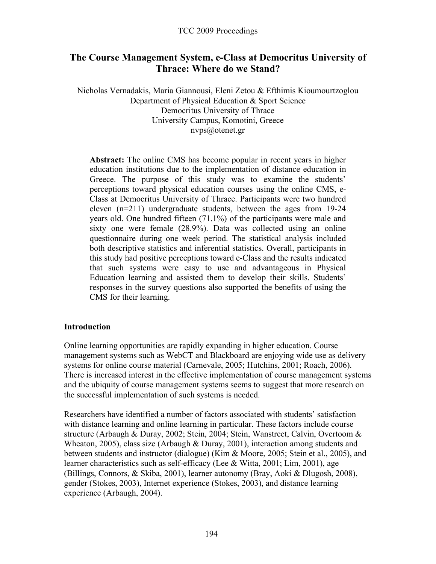# **The Course Management System, e-Class at Democritus University of Thrace: Where do we Stand?**

Nicholas Vernadakis, Maria Giannousi, Eleni Zetou & Efthimis Kioumourtzoglou Department of Physical Education & Sport Science Democritus University of Thrace University Campus, Komotini, Greece nvps@otenet.gr

**Abstract:** The online CMS has become popular in recent years in higher education institutions due to the implementation of distance education in Greece. The purpose of this study was to examine the students' perceptions toward physical education courses using the online CMS, e-Class at Democritus University of Thrace. Participants were two hundred eleven (n=211) undergraduate students, between the ages from 19-24 years old. One hundred fifteen (71.1%) of the participants were male and sixty one were female (28.9%). Data was collected using an online questionnaire during one week period. The statistical analysis included both descriptive statistics and inferential statistics. Overall, participants in this study had positive perceptions toward e-Class and the results indicated that such systems were easy to use and advantageous in Physical Education learning and assisted them to develop their skills. Students' responses in the survey questions also supported the benefits of using the CMS for their learning.

### **Introduction**

Online learning opportunities are rapidly expanding in higher education. Course management systems such as WebCT and Blackboard are enjoying wide use as delivery systems for online course material (Carnevale, 2005; Hutchins, 2001; Roach, 2006). There is increased interest in the effective implementation of course management systems and the ubiquity of course management systems seems to suggest that more research on the successful implementation of such systems is needed.

Researchers have identified a number of factors associated with students' satisfaction with distance learning and online learning in particular. These factors include course structure (Arbaugh & Duray, 2002; Stein, 2004; Stein, Wanstreet, Calvin, Overtoom & Wheaton, 2005), class size (Arbaugh & Duray, 2001), interaction among students and between students and instructor (dialogue) (Kim & Moore, 2005; Stein et al., 2005), and learner characteristics such as self-efficacy (Lee & Witta, 2001; Lim, 2001), age (Billings, Connors, & Skiba, 2001), learner autonomy (Bray, Aoki & Dlugosh, 2008), gender (Stokes, 2003), Internet experience (Stokes, 2003), and distance learning experience (Arbaugh, 2004).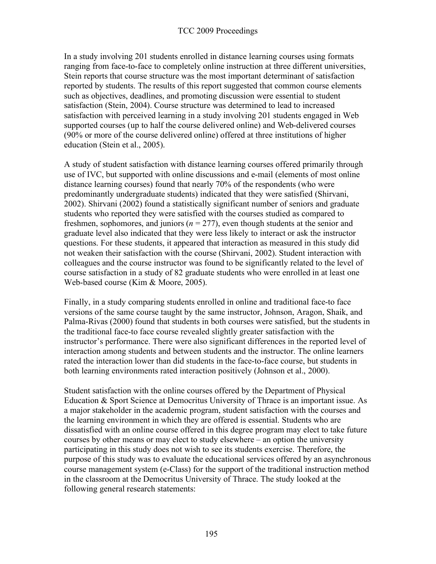In a study involving 201 students enrolled in distance learning courses using formats ranging from face-to-face to completely online instruction at three different universities, Stein reports that course structure was the most important determinant of satisfaction reported by students. The results of this report suggested that common course elements such as objectives, deadlines, and promoting discussion were essential to student satisfaction (Stein, 2004). Course structure was determined to lead to increased satisfaction with perceived learning in a study involving 201 students engaged in Web supported courses (up to half the course delivered online) and Web-delivered courses (90% or more of the course delivered online) offered at three institutions of higher education (Stein et al., 2005).

A study of student satisfaction with distance learning courses offered primarily through use of IVC, but supported with online discussions and e-mail (elements of most online distance learning courses) found that nearly 70% of the respondents (who were predominantly undergraduate students) indicated that they were satisfied (Shirvani, 2002). Shirvani (2002) found a statistically significant number of seniors and graduate students who reported they were satisfied with the courses studied as compared to freshmen, sophomores, and juniors ( $n = 277$ ), even though students at the senior and graduate level also indicated that they were less likely to interact or ask the instructor questions. For these students, it appeared that interaction as measured in this study did not weaken their satisfaction with the course (Shirvani, 2002). Student interaction with colleagues and the course instructor was found to be significantly related to the level of course satisfaction in a study of 82 graduate students who were enrolled in at least one Web-based course (Kim & Moore, 2005).

Finally, in a study comparing students enrolled in online and traditional face-to face versions of the same course taught by the same instructor, Johnson, Aragon, Shaik, and Palma-Rivas (2000) found that students in both courses were satisfied, but the students in the traditional face-to face course revealed slightly greater satisfaction with the instructor's performance. There were also significant differences in the reported level of interaction among students and between students and the instructor. The online learners rated the interaction lower than did students in the face-to-face course, but students in both learning environments rated interaction positively (Johnson et al., 2000).

Student satisfaction with the online courses offered by the Department of Physical Education & Sport Science at Democritus University of Thrace is an important issue. As a major stakeholder in the academic program, student satisfaction with the courses and the learning environment in which they are offered is essential. Students who are dissatisfied with an online course offered in this degree program may elect to take future courses by other means or may elect to study elsewhere – an option the university participating in this study does not wish to see its students exercise. Therefore, the purpose of this study was to evaluate the educational services offered by an asynchronous course management system (e-Class) for the support of the traditional instruction method in the classroom at the Democritus University of Thrace. The study looked at the following general research statements: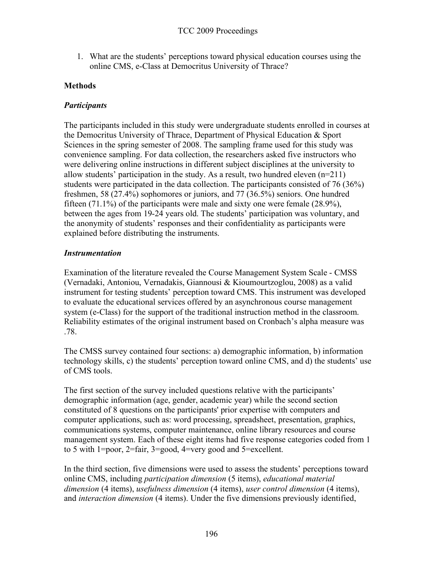1. What are the students' perceptions toward physical education courses using the online CMS, e-Class at Democritus University of Thrace?

## **Methods**

## *Participants*

The participants included in this study were undergraduate students enrolled in courses at the Democritus University of Thrace, Department of Physical Education & Sport Sciences in the spring semester of 2008. The sampling frame used for this study was convenience sampling. For data collection, the researchers asked five instructors who were delivering online instructions in different subject disciplines at the university to allow students' participation in the study. As a result, two hundred eleven  $(n=211)$ students were participated in the data collection. The participants consisted of 76 (36%) freshmen, 58 (27.4%) sophomores or juniors, and 77 (36.5%) seniors. One hundred fifteen (71.1%) of the participants were male and sixty one were female (28.9%), between the ages from 19-24 years old. The students' participation was voluntary, and the anonymity of students' responses and their confidentiality as participants were explained before distributing the instruments.

## *Instrumentation*

Examination of the literature revealed the Course Management System Scale - CMSS (Vernadaki, Antoniou, Vernadakis, Giannousi & Kioumourtzoglou, 2008) as a valid instrument for testing students' perception toward CMS. This instrument was developed to evaluate the educational services offered by an asynchronous course management system (e-Class) for the support of the traditional instruction method in the classroom. Reliability estimates of the original instrument based on Cronbach's alpha measure was .78.

The CMSS survey contained four sections: a) demographic information, b) information technology skills, c) the students' perception toward online CMS, and d) the students' use of CMS tools.

The first section of the survey included questions relative with the participants' demographic information (age, gender, academic year) while the second section constituted of 8 questions on the participants' prior expertise with computers and computer applications, such as: word processing, spreadsheet, presentation, graphics, communications systems, computer maintenance, online library resources and course management system. Each of these eight items had five response categories coded from 1 to 5 with 1=poor, 2=fair, 3=good, 4=very good and 5=excellent.

In the third section, five dimensions were used to assess the students' perceptions toward online CMS, including *participation dimension* (5 items), *educational material dimension* (4 items), *usefulness dimension* (4 items), *user control dimension* (4 items), and *interaction dimension* (4 items). Under the five dimensions previously identified,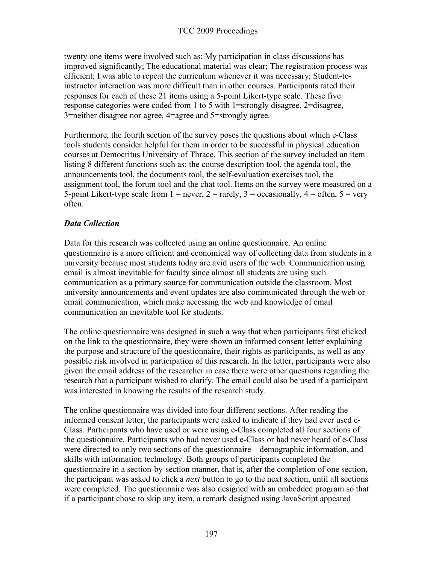twenty one items were involved such as: My participation in class discussions has improved significantly; The educational material was clear; The registration process was efficient; I was able to repeat the curriculum whenever it was necessary; Student-toinstructor interaction was more difficult than in other courses. Participants rated their responses for each of these 21 items using a 5-point Likert-type scale. These five response categories were coded from 1 to 5 with 1=strongly disagree, 2=disagree, 3=neither disagree nor agree, 4=agree and 5=strongly agree.

Furthermore, the fourth section of the survey poses the questions about which e-Class tools students consider helpful for them in order to be successful in physical education courses at Democritus University of Thrace. This section of the survey included an item listing 8 different functions such as: the course description tool, the agenda tool, the announcements tool, the documents tool, the self-evaluation exercises tool, the assignment tool, the forum tool and the chat tool. Items on the survey were measured on a 5-point Likert-type scale from  $1 =$  never,  $2 =$  rarely,  $3 =$  occasionally,  $4 =$  often,  $5 =$  very often.

## *Data Collection*

Data for this research was collected using an online questionnaire. An online questionnaire is a more efficient and economical way of collecting data from students in a university because most students today are avid users of the web. Communication using email is almost inevitable for faculty since almost all students are using such communication as a primary source for communication outside the classroom. Most university announcements and event updates are also communicated through the web or email communication, which make accessing the web and knowledge of email communication an inevitable tool for students.

The online questionnaire was designed in such a way that when participants first clicked on the link to the questionnaire, they were shown an informed consent letter explaining the purpose and structure of the questionnaire, their rights as participants, as well as any possible risk involved in participation of this research. In the letter, participants were also given the email address of the researcher in case there were other questions regarding the research that a participant wished to clarify. The email could also be used if a participant was interested in knowing the results of the research study.

The online questionnaire was divided into four different sections. After reading the informed consent letter, the participants were asked to indicate if they had ever used e-Class. Participants who have used or were using e-Class completed all four sections of the questionnaire. Participants who had never used e-Class or had never heard of e-Class were directed to only two sections of the questionnaire – demographic information, and skills with information technology. Both groups of participants completed the questionnaire in a section-by-section manner, that is, after the completion of one section, the participant was asked to click a *next* button to go to the next section, until all sections were completed. The questionnaire was also designed with an embedded program so that if a participant chose to skip any item, a remark designed using JavaScript appeared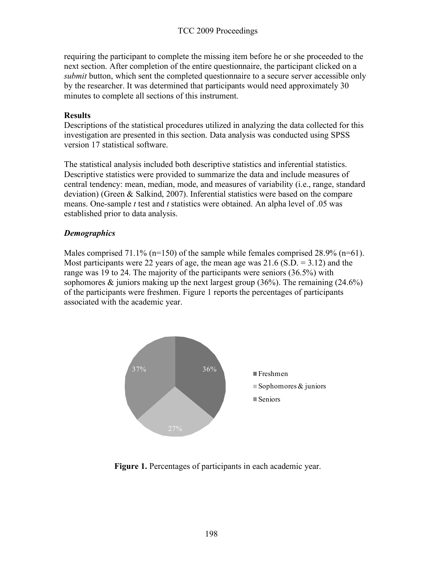requiring the participant to complete the missing item before he or she proceeded to the next section. After completion of the entire questionnaire, the participant clicked on a *submit* button, which sent the completed questionnaire to a secure server accessible only by the researcher. It was determined that participants would need approximately 30 minutes to complete all sections of this instrument.

### **Results**

Descriptions of the statistical procedures utilized in analyzing the data collected for this investigation are presented in this section. Data analysis was conducted using SPSS version 17 statistical software.

The statistical analysis included both descriptive statistics and inferential statistics. Descriptive statistics were provided to summarize the data and include measures of central tendency: mean, median, mode, and measures of variability (i.e., range, standard deviation) (Green & Salkind, 2007). Inferential statistics were based on the compare means. One-sample *t* test and *t* statistics were obtained. An alpha level of .05 was established prior to data analysis.

## *Demographics*

Males comprised 71.1% ( $n=150$ ) of the sample while females comprised 28.9% ( $n=61$ ). Most participants were 22 years of age, the mean age was  $21.6$  (S.D. = 3.12) and the range was 19 to 24. The majority of the participants were seniors (36.5%) with sophomores  $\&$  juniors making up the next largest group (36%). The remaining (24.6%) of the participants were freshmen. Figure 1 reports the percentages of participants associated with the academic year.



**Figure 1.** Percentages of participants in each academic year.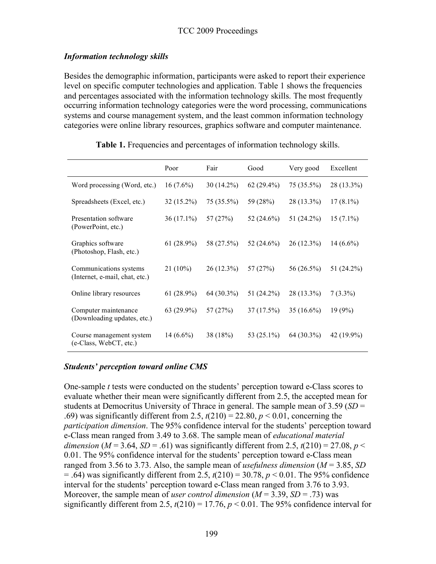### *Information technology skills*

Besides the demographic information, participants were asked to report their experience level on specific computer technologies and application. Table 1 shows the frequencies and percentages associated with the information technology skills. The most frequently occurring information technology categories were the word processing, communications systems and course management system, and the least common information technology categories were online library resources, graphics software and computer maintenance.

|                                                                           | Poor         | Fair         | Good         | Very good    | Excellent    |
|---------------------------------------------------------------------------|--------------|--------------|--------------|--------------|--------------|
| Word processing (Word, etc.)                                              | $16(7.6\%)$  | $30(14.2\%)$ | $62(29.4\%)$ | $75(35.5\%)$ | $28(13.3\%)$ |
| Spreadsheets (Excel, etc.)                                                | $32(15.2\%)$ | 75 (35.5%)   | 59 (28%)     | 28 (13.3%)   | $17(8.1\%)$  |
| Presentation software<br>(PowerPoint, etc.)                               | $36(17.1\%)$ | 57 (27%)     | 52 (24.6%)   | 51 (24.2%)   | $15(7.1\%)$  |
| Graphics software<br>(Photoshop, Flash, etc.)                             | $61(28.9\%)$ | 58 (27.5%)   | 52 (24.6%)   | $26(12.3\%)$ | $14(6.6\%)$  |
| Communications systems<br>(Internet, e-mail, chat, etc.)                  | $21(10\%)$   | $26(12.3\%)$ | 57 (27%)     | 56 (26.5%)   | 51 (24.2%)   |
| Online library resources                                                  | $61(28.9\%)$ | 64 (30.3%)   | 51 (24.2%)   | 28 (13.3%)   | $7(3.3\%)$   |
| Computer maintenance<br>(Downloading updates, etc.)                       | 63 (29.9%)   | 57 (27%)     | 37(17.5%)    | $35(16.6\%)$ | 19(9%)       |
| Course management system<br>$(e\text{-Class}, \text{WebCT}, \text{etc.})$ | $14(6.6\%)$  | 38 (18%)     | 53 (25.1%)   | 64 (30.3%)   | $42(19.9\%)$ |

#### **Table 1.** Frequencies and percentages of information technology skills.

#### *Students' perception toward online CMS*

One-sample *t* tests were conducted on the students' perception toward e-Class scores to evaluate whether their mean were significantly different from 2.5, the accepted mean for students at Democritus University of Thrace in general. The sample mean of 3.59 (*SD* = .69) was significantly different from 2.5,  $t(210) = 22.80$ ,  $p < 0.01$ , concerning the *participation dimension*. The 95% confidence interval for the students' perception toward e-Class mean ranged from 3.49 to 3.68. The sample mean of *educational material dimension* ( $M = 3.64$ ,  $SD = .61$ ) was significantly different from 2.5,  $t(210) = 27.08$ ,  $p <$ 0.01. The 95% confidence interval for the students' perception toward e-Class mean ranged from 3.56 to 3.73. Also, the sample mean of *usefulness dimension* (*M* = 3.85, *SD*  $=$  .64) was significantly different from 2.5,  $t(210) = 30.78$ ,  $p < 0.01$ . The 95% confidence interval for the students' perception toward e-Class mean ranged from 3.76 to 3.93. Moreover, the sample mean of *user control dimension*  $(M = 3.39, SD = .73)$  was significantly different from 2.5,  $t(210) = 17.76$ ,  $p < 0.01$ . The 95% confidence interval for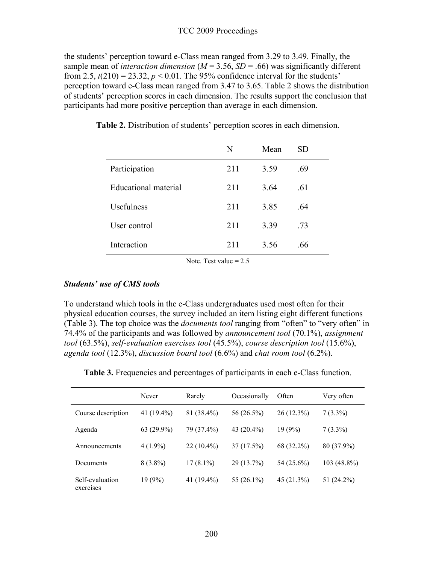#### TCC 2009 Proceedings

the students' perception toward e-Class mean ranged from 3.29 to 3.49. Finally, the sample mean of *interaction dimension* ( $M = 3.56$ ,  $SD = .66$ ) was significantly different from 2.5,  $t(210) = 23.32$ ,  $p < 0.01$ . The 95% confidence interval for the students' perception toward e-Class mean ranged from 3.47 to 3.65. Table 2 shows the distribution of students' perception scores in each dimension. The results support the conclusion that participants had more positive perception than average in each dimension.

|                      | N   | Mean | SD. |
|----------------------|-----|------|-----|
| Participation        | 211 | 3.59 | .69 |
| Educational material | 211 | 3.64 | .61 |
| Usefulness           | 211 | 3.85 | .64 |
| User control         | 211 | 3.39 | .73 |
| Interaction          | 211 | 3.56 | .66 |

**Table 2.** Distribution of students' perception scores in each dimension.

Note. Test value  $= 2.5$ 

#### *Students' use of CMS tools*

To understand which tools in the e-Class undergraduates used most often for their physical education courses, the survey included an item listing eight different functions (Table 3). The top choice was the *documents tool* ranging from "often" to "very often" in 74.4% of the participants and was followed by *announcement tool* (70.1%), *assignment tool* (63.5%), *self-evaluation exercises tool* (45.5%), *course description tool* (15.6%), *agenda tool* (12.3%), *discussion board tool* (6.6%) and *chat room tool* (6.2%).

| <b>Table 3.</b> Frequencies and percentages of participants in each e-Class function. |  |  |
|---------------------------------------------------------------------------------------|--|--|
|                                                                                       |  |  |

|                              | Never         | Rarely        | Occasionally  | Often        | Very often  |
|------------------------------|---------------|---------------|---------------|--------------|-------------|
| Course description           | 41 $(19.4\%)$ | 81 (38.4%)    | 56 (26.5%)    | $26(12.3\%)$ | $7(3.3\%)$  |
| Agenda                       | $63(29.9\%)$  | 79 (37.4%)    | 43 $(20.4\%)$ | 19(9%)       | $7(3.3\%)$  |
| Announcements                | $4(1.9\%)$    | $22(10.4\%)$  | 37(17.5%)     | 68 (32.2%)   | 80 (37.9%)  |
| Documents                    | $8(3.8\%)$    | $17(8.1\%)$   | 29 (13.7%)    | 54 (25.6%)   | 103 (48.8%) |
| Self-evaluation<br>exercises | 19(9%)        | 41 $(19.4\%)$ | 55 (26.1%)    | 45(21.3%)    | 51 (24.2%)  |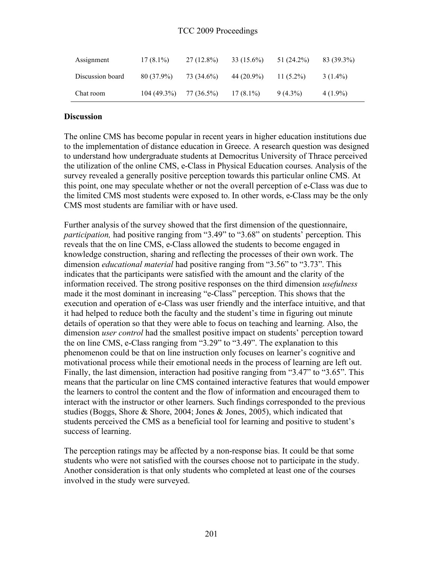#### TCC 2009 Proceedings

| Assignment       | $17(8.1\%)$ | $27(12.8\%)$ | $33(15.6\%)$ | 51 (24.2%)   | 83 (39.3%) |
|------------------|-------------|--------------|--------------|--------------|------------|
| Discussion board | 80 (37.9%)  | 73 (34.6%)   | 44 (20.9%)   | 11 $(5.2\%)$ | $3(1.4\%)$ |
| Chat room        | 104(49.3%)  | 77 (36.5%)   | $17(8.1\%)$  | $9(4.3\%)$   | $4(1.9\%)$ |

#### **Discussion**

The online CMS has become popular in recent years in higher education institutions due to the implementation of distance education in Greece. A research question was designed to understand how undergraduate students at Democritus University of Thrace perceived the utilization of the online CMS, e-Class in Physical Education courses. Analysis of the survey revealed a generally positive perception towards this particular online CMS. At this point, one may speculate whether or not the overall perception of e-Class was due to the limited CMS most students were exposed to. In other words, e-Class may be the only CMS most students are familiar with or have used.

Further analysis of the survey showed that the first dimension of the questionnaire, *participation,* had positive ranging from "3.49" to "3.68" on students' perception. This reveals that the on line CMS, e-Class allowed the students to become engaged in knowledge construction, sharing and reflecting the processes of their own work. The dimension *educational material* had positive ranging from "3.56" to "3.73". This indicates that the participants were satisfied with the amount and the clarity of the information received. The strong positive responses on the third dimension *usefulness* made it the most dominant in increasing "e-Class" perception. This shows that the execution and operation of e-Class was user friendly and the interface intuitive, and that it had helped to reduce both the faculty and the student's time in figuring out minute details of operation so that they were able to focus on teaching and learning. Also, the dimension *user control* had the smallest positive impact on students' perception toward the on line CMS, e-Class ranging from "3.29" to "3.49". The explanation to this phenomenon could be that on line instruction only focuses on learner's cognitive and motivational process while their emotional needs in the process of learning are left out. Finally, the last dimension, interaction had positive ranging from "3.47" to "3.65". This means that the particular on line CMS contained interactive features that would empower the learners to control the content and the flow of information and encouraged them to interact with the instructor or other learners. Such findings corresponded to the previous studies (Boggs, Shore & Shore, 2004; Jones & Jones, 2005), which indicated that students perceived the CMS as a beneficial tool for learning and positive to student's success of learning.

The perception ratings may be affected by a non-response bias. It could be that some students who were not satisfied with the courses choose not to participate in the study. Another consideration is that only students who completed at least one of the courses involved in the study were surveyed.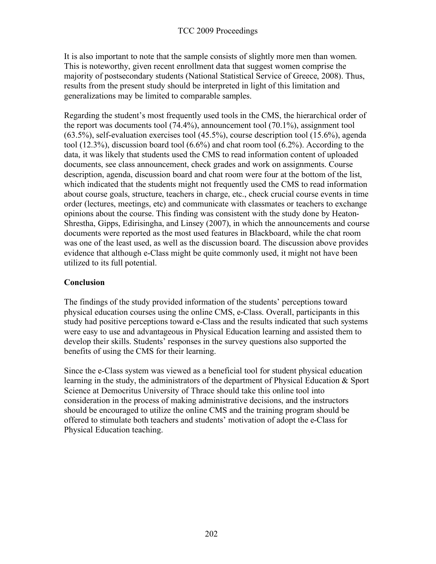It is also important to note that the sample consists of slightly more men than women. This is noteworthy, given recent enrollment data that suggest women comprise the majority of postsecondary students (National Statistical Service of Greece, 2008). Thus, results from the present study should be interpreted in light of this limitation and generalizations may be limited to comparable samples.

Regarding the student's most frequently used tools in the CMS, the hierarchical order of the report was documents tool (74.4%), announcement tool (70.1%), assignment tool (63.5%), self-evaluation exercises tool (45.5%), course description tool (15.6%), agenda tool (12.3%), discussion board tool (6.6%) and chat room tool (6.2%). According to the data, it was likely that students used the CMS to read information content of uploaded documents, see class announcement, check grades and work on assignments. Course description, agenda, discussion board and chat room were four at the bottom of the list, which indicated that the students might not frequently used the CMS to read information about course goals, structure, teachers in charge, etc., check crucial course events in time order (lectures, meetings, etc) and communicate with classmates or teachers to exchange opinions about the course. This finding was consistent with the study done by Heaton-Shrestha, Gipps, Edirisingha, and Linsey (2007), in which the announcements and course documents were reported as the most used features in Blackboard, while the chat room was one of the least used, as well as the discussion board. The discussion above provides evidence that although e-Class might be quite commonly used, it might not have been utilized to its full potential.

## **Conclusion**

The findings of the study provided information of the students' perceptions toward physical education courses using the online CMS, e-Class. Overall, participants in this study had positive perceptions toward e-Class and the results indicated that such systems were easy to use and advantageous in Physical Education learning and assisted them to develop their skills. Students' responses in the survey questions also supported the benefits of using the CMS for their learning.

Since the e-Class system was viewed as a beneficial tool for student physical education learning in the study, the administrators of the department of Physical Education & Sport Science at Democritus University of Thrace should take this online tool into consideration in the process of making administrative decisions, and the instructors should be encouraged to utilize the online CMS and the training program should be offered to stimulate both teachers and students' motivation of adopt the e-Class for Physical Education teaching.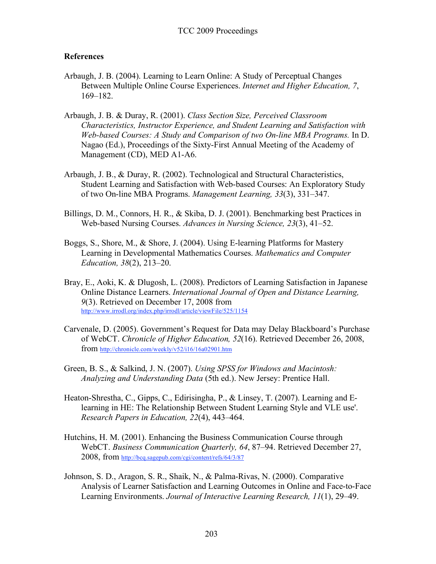### **References**

- Arbaugh, J. B. (2004). Learning to Learn Online: A Study of Perceptual Changes Between Multiple Online Course Experiences. *Internet and Higher Education, 7*, 169–182.
- Arbaugh, J. B. & Duray, R. (2001). *Class Section Size, Perceived Classroom Characteristics, Instructor Experience, and Student Learning and Satisfaction with Web-based Courses: A Study and Comparison of two On-line MBA Programs.* In D. Nagao (Ed.), Proceedings of the Sixty-First Annual Meeting of the Academy of Management (CD), MED A1-A6.
- Arbaugh, J. B., & Duray, R. (2002). Technological and Structural Characteristics, Student Learning and Satisfaction with Web-based Courses: An Exploratory Study of two On-line MBA Programs. *Management Learning, 33*(3), 331–347.
- Billings, D. M., Connors, H. R., & Skiba, D. J. (2001). Benchmarking best Practices in Web-based Nursing Courses. *Advances in Nursing Science, 23*(3), 41–52.
- Boggs, S., Shore, M., & Shore, J. (2004). Using E-learning Platforms for Mastery Learning in Developmental Mathematics Courses. *Mathematics and Computer Education, 38*(2), 213–20.
- Bray, E., Aoki, K. & Dlugosh, L. (2008). Predictors of Learning Satisfaction in Japanese Online Distance Learners. *International Journal of Open and Distance Learning, 9*(3). Retrieved on December 17, 2008 from http://www.irrodl.org/index.php/irrodl/article/viewFile/525/1154
- Carvenale, D. (2005). Government's Request for Data may Delay Blackboard's Purchase of WebCT. *Chronicle of Higher Education, 52*(16). Retrieved December 26, 2008, from http://chronicle.com/weekly/v52/i16/16a02901.htm
- Green, B. S., & Salkind, J. N. (2007). *Using SPSS for Windows and Macintosh: Analyzing and Understanding Data* (5th ed.). New Jersey: Prentice Hall.
- Heaton-Shrestha, C., Gipps, C., Edirisingha, P., & Linsey, T. (2007). Learning and Elearning in HE: The Relationship Between Student Learning Style and VLE use'. *Research Papers in Education, 22*(4), 443–464.
- Hutchins, H. M. (2001). Enhancing the Business Communication Course through WebCT. *Business Communication Quarterly, 64*, 87–94. Retrieved December 27, 2008, from http://bcq.sagepub.com/cgi/content/refs/64/3/87
- Johnson, S. D., Aragon, S. R., Shaik, N., & Palma-Rivas, N. (2000). Comparative Analysis of Learner Satisfaction and Learning Outcomes in Online and Face-to-Face Learning Environments. *Journal of Interactive Learning Research, 11*(1), 29–49.